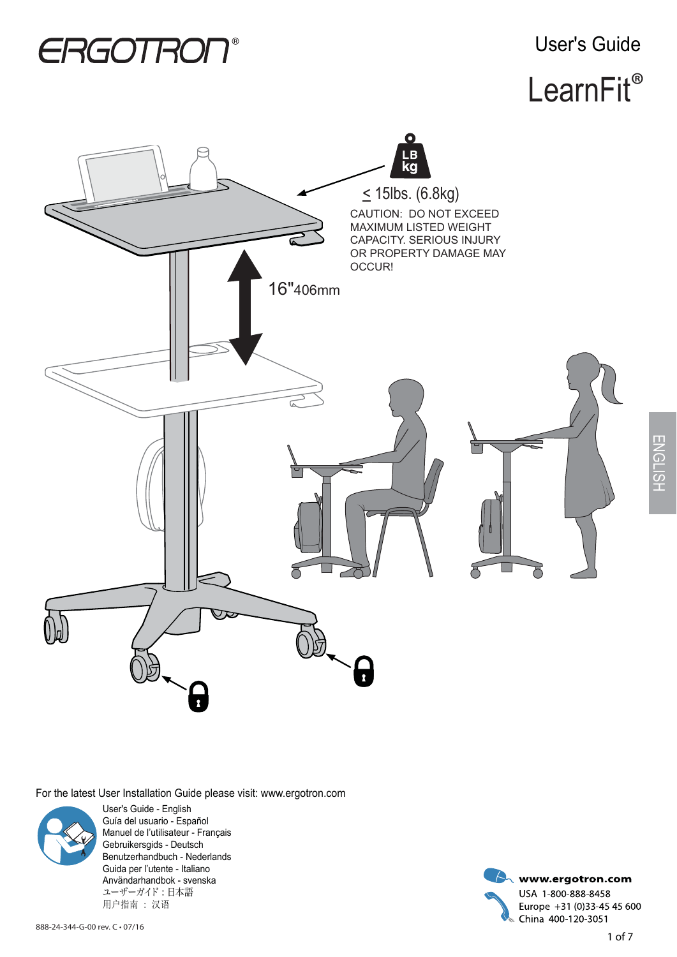User's Guide

# LearnFit<sup>®</sup>



For the latest User Installation Guide please visit: www.ergotron.com



User's Guide - English Guía del usuario - Español Manuel de l'utilisateur - Français Gebruikersgids - Deutsch Benutzerhandbuch - Nederlands Guida per l'utente - Italiano Användarhandbok - svenska ユーザーガイド : 日本語 用户指南 : 汉语

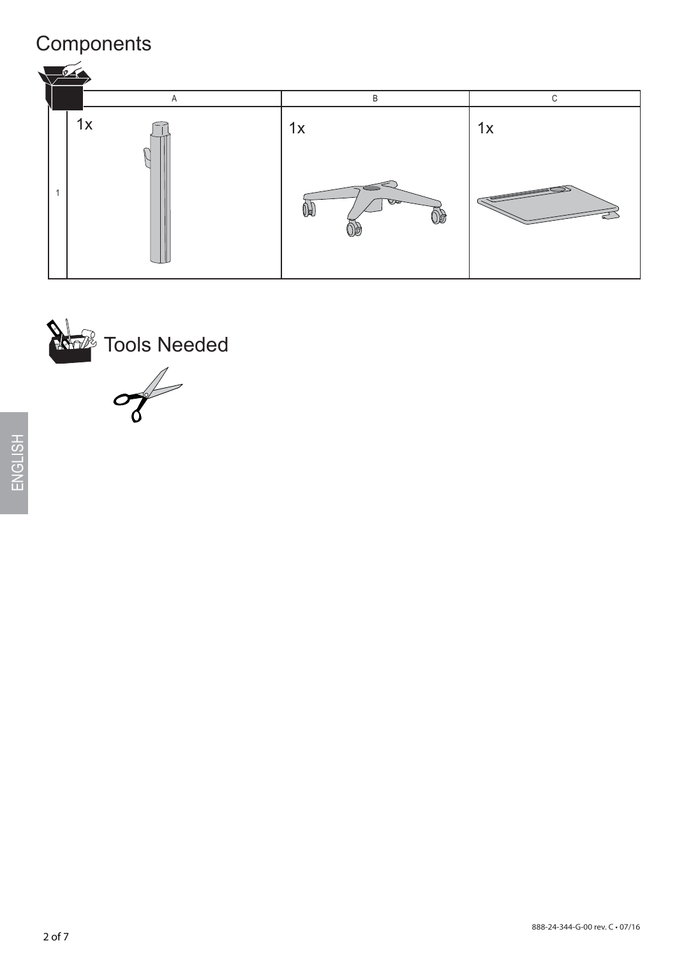## **Components**



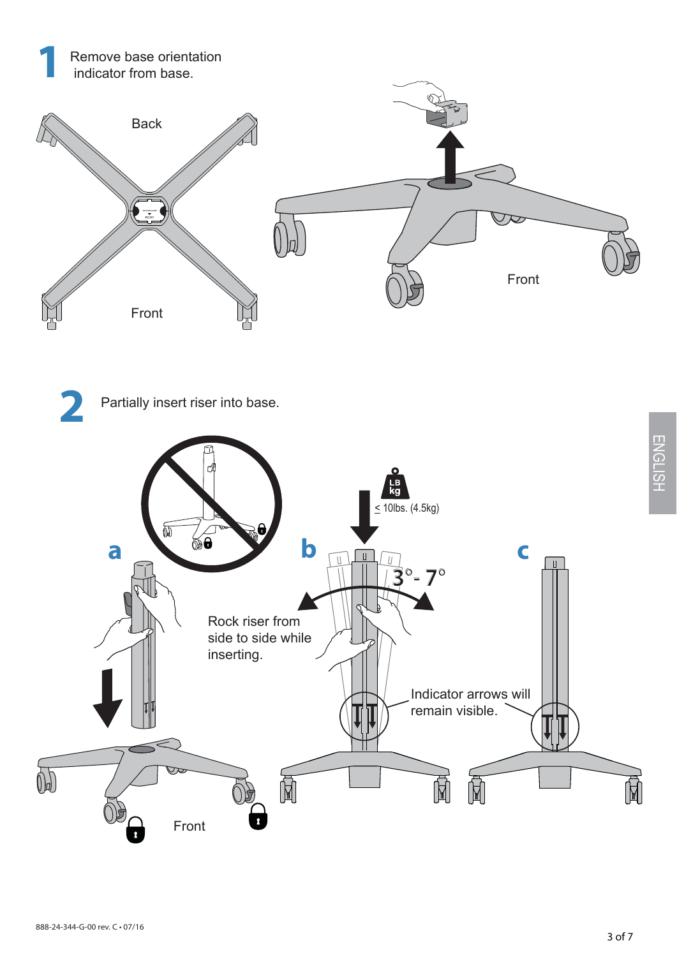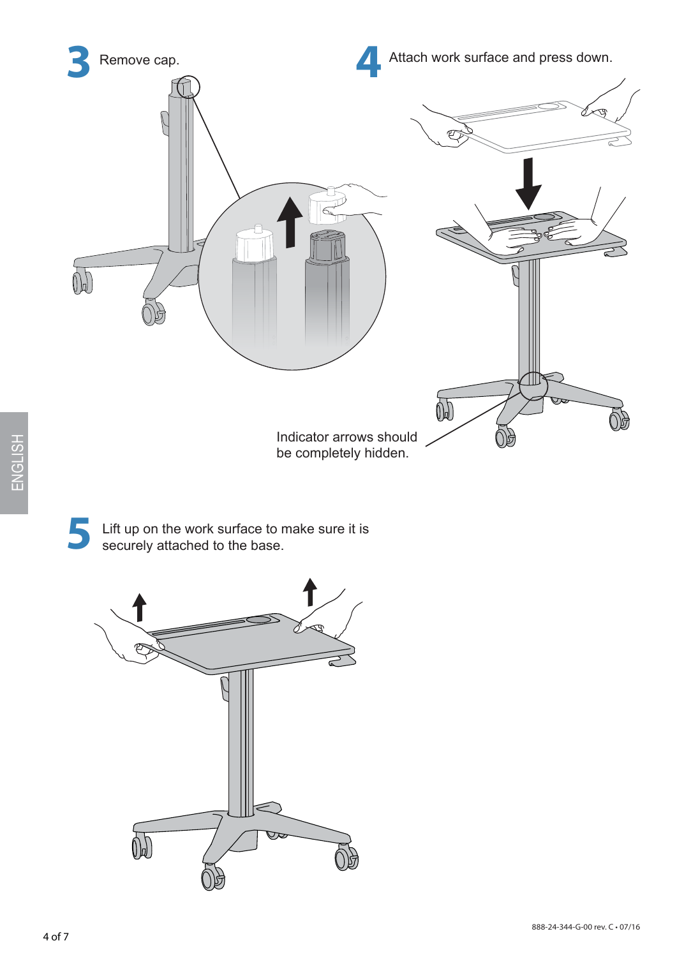

ENGLISH

**5** Lift up on the work surface to make sure it is securely attached to the base.

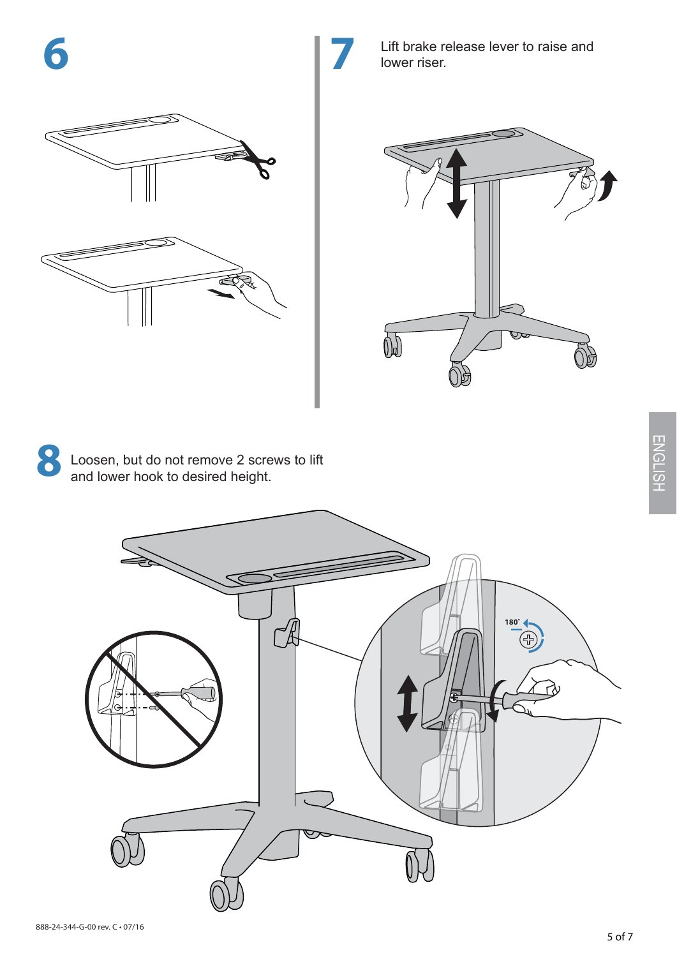

Lift brake release lever to raise and lower riser.



**8** Loosen, but do not remove 2 screws to lift and lower hook to desired height.

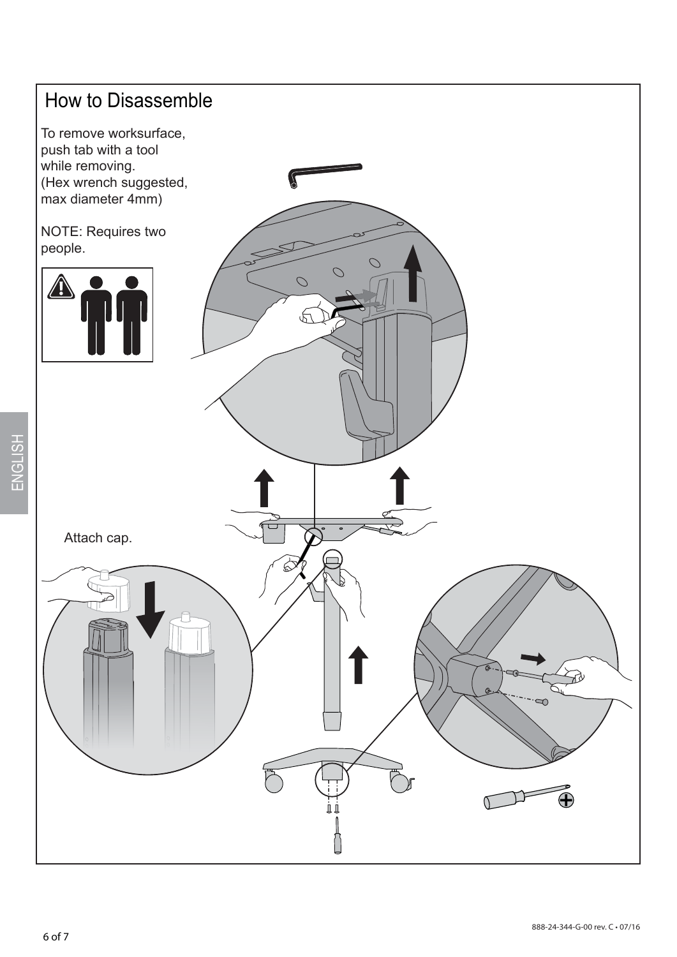